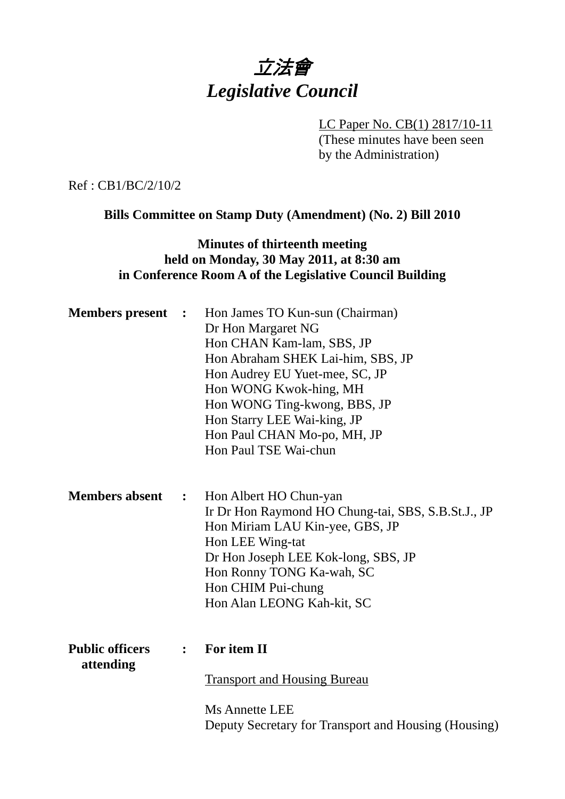# 立法會 *Legislative Council*

LC Paper No. CB(1) 2817/10-11 (These minutes have been seen by the Administration)

Ref : CB1/BC/2/10/2

**Bills Committee on Stamp Duty (Amendment) (No. 2) Bill 2010** 

### **Minutes of thirteenth meeting held on Monday, 30 May 2011, at 8:30 am in Conference Room A of the Legislative Council Building**

| <b>Members</b> present              | $\ddot{\phantom{1}}$ | Hon James TO Kun-sun (Chairman)<br>Dr Hon Margaret NG<br>Hon CHAN Kam-lam, SBS, JP<br>Hon Abraham SHEK Lai-him, SBS, JP<br>Hon Audrey EU Yuet-mee, SC, JP<br>Hon WONG Kwok-hing, MH<br>Hon WONG Ting-kwong, BBS, JP<br>Hon Starry LEE Wai-king, JP<br>Hon Paul CHAN Mo-po, MH, JP<br>Hon Paul TSE Wai-chun |
|-------------------------------------|----------------------|------------------------------------------------------------------------------------------------------------------------------------------------------------------------------------------------------------------------------------------------------------------------------------------------------------|
| <b>Members absent</b>               | $\ddot{\bullet}$     | Hon Albert HO Chun-yan<br>Ir Dr Hon Raymond HO Chung-tai, SBS, S.B.St.J., JP<br>Hon Miriam LAU Kin-yee, GBS, JP<br>Hon LEE Wing-tat<br>Dr Hon Joseph LEE Kok-long, SBS, JP<br>Hon Ronny TONG Ka-wah, SC<br>Hon CHIM Pui-chung<br>Hon Alan LEONG Kah-kit, SC                                                |
| <b>Public officers</b><br>attending | $\ddot{\cdot}$       | For item II<br><b>Transport and Housing Bureau</b><br><b>Ms Annette LEE</b><br>Deputy Secretary for Transport and Housing (Housing)                                                                                                                                                                        |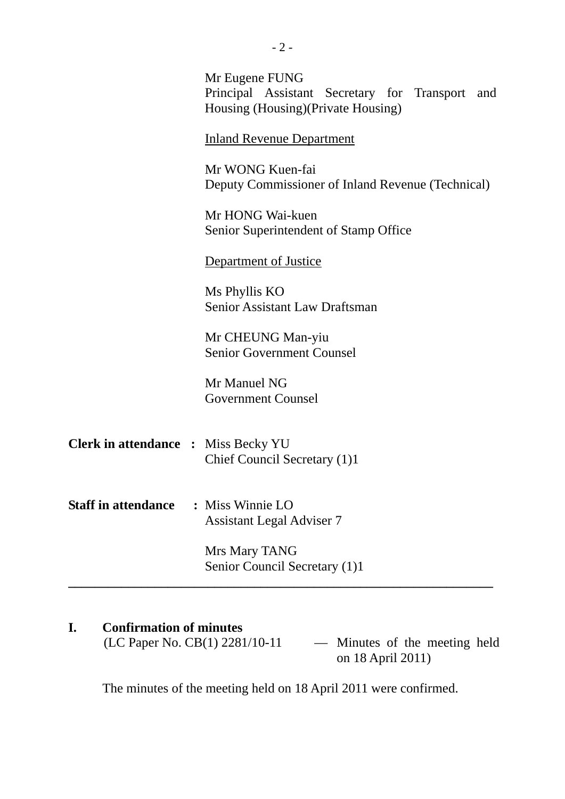|                                            | Mr Eugene FUNG<br>Principal Assistant Secretary for Transport and<br>Housing (Housing) (Private Housing) |
|--------------------------------------------|----------------------------------------------------------------------------------------------------------|
|                                            | <b>Inland Revenue Department</b>                                                                         |
|                                            | Mr WONG Kuen-fai<br>Deputy Commissioner of Inland Revenue (Technical)                                    |
|                                            | Mr HONG Wai-kuen<br>Senior Superintendent of Stamp Office                                                |
|                                            | Department of Justice                                                                                    |
|                                            | Ms Phyllis KO<br><b>Senior Assistant Law Draftsman</b>                                                   |
|                                            | Mr CHEUNG Man-yiu<br><b>Senior Government Counsel</b>                                                    |
|                                            | Mr Manuel NG<br><b>Government Counsel</b>                                                                |
| <b>Clerk in attendance : Miss Becky YU</b> | Chief Council Secretary (1)1                                                                             |
| <b>Staff in attendance</b>                 | : Miss Winnie LO<br><b>Assistant Legal Adviser 7</b>                                                     |
|                                            | Mrs Mary TANG<br>Senior Council Secretary (1)1                                                           |
|                                            |                                                                                                          |

## **I. Confirmation of minutes**

(LC Paper No. CB(1) 2281/10-11  $-$  Minutes of the meeting held on 18 April 2011)

The minutes of the meeting held on 18 April 2011 were confirmed.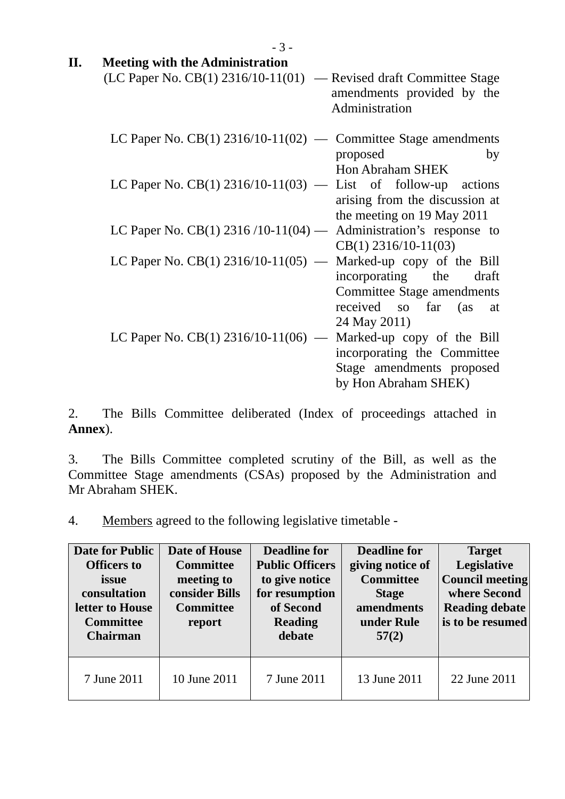|    | $-3-$                                                                  |                                                                                                                |
|----|------------------------------------------------------------------------|----------------------------------------------------------------------------------------------------------------|
| П. | <b>Meeting with the Administration</b>                                 |                                                                                                                |
|    | $(LC$ Paper No. $CB(1)$ 2316/10-11(01) — Revised draft Committee Stage | amendments provided by the<br>Administration                                                                   |
|    | LC Paper No. $CB(1)$ 2316/10-11(02) — Committee Stage amendments       | proposed<br>by<br><b>Hon Abraham SHEK</b>                                                                      |
|    | LC Paper No. CB(1) $2316/10-11(03)$ — List of follow-up                | actions<br>arising from the discussion at<br>the meeting on 19 May 2011                                        |
|    | LC Paper No. CB(1) $2316/10-11(04)$ - Administration's response to     | $CB(1)$ 2316/10-11(03)                                                                                         |
|    | LC Paper No. $CB(1)$ 2316/10-11(05) — Marked-up copy of the Bill       | incorporating the draft<br><b>Committee Stage amendments</b><br>received so far (as at<br>24 May 2011)         |
|    | LC Paper No. CB(1) 2316/10-11(06) —                                    | Marked-up copy of the Bill<br>incorporating the Committee<br>Stage amendments proposed<br>by Hon Abraham SHEK) |

2. The Bills Committee deliberated (Index of proceedings attached in **Annex**).

3. The Bills Committee completed scrutiny of the Bill, as well as the Committee Stage amendments (CSAs) proposed by the Administration and Mr Abraham SHEK.

4. Members agreed to the following legislative timetable -

| <b>Date for Public</b><br><b>Officers to</b><br>issue<br>consultation<br>letter to House<br><b>Committee</b><br><b>Chairman</b> | Date of House<br><b>Committee</b><br>meeting to<br>consider Bills<br><b>Committee</b><br>report | <b>Deadline for</b><br><b>Public Officers</b><br>to give notice<br>for resumption<br>of Second<br><b>Reading</b><br>debate | <b>Deadline for</b><br>giving notice of<br><b>Committee</b><br><b>Stage</b><br>amendments<br>under Rule<br>57(2) | <b>Target</b><br>Legislative<br><b>Council meeting</b><br>where Second<br><b>Reading debate</b><br>is to be resumed |
|---------------------------------------------------------------------------------------------------------------------------------|-------------------------------------------------------------------------------------------------|----------------------------------------------------------------------------------------------------------------------------|------------------------------------------------------------------------------------------------------------------|---------------------------------------------------------------------------------------------------------------------|
| 7 June 2011                                                                                                                     | 10 June 2011                                                                                    | 7 June 2011                                                                                                                | 13 June 2011                                                                                                     | 22 June 2011                                                                                                        |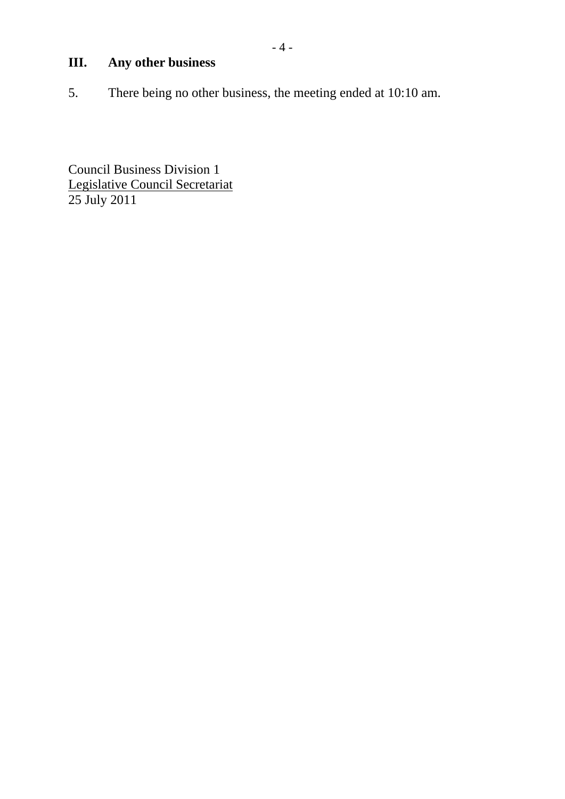# **III. Any other business**

5. There being no other business, the meeting ended at 10:10 am.

Council Business Division 1 Legislative Council Secretariat 25 July 2011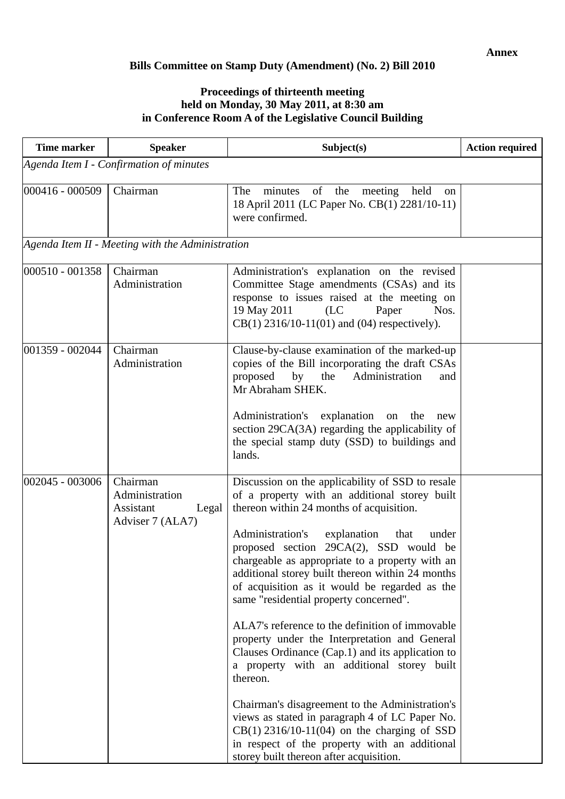### **Bills Committee on Stamp Duty (Amendment) (No. 2) Bill 2010**

#### **Proceedings of thirteenth meeting held on Monday, 30 May 2011, at 8:30 am in Conference Room A of the Legislative Council Building**

| <b>Time marker</b>                      | <b>Speaker</b>                                                       | Subject(s)                                                                                                                                                                                                                                                                                                                                                                                                                                                                                                                                                                                                                                                                                                                                                                                                                                                                                                     | <b>Action required</b> |  |  |
|-----------------------------------------|----------------------------------------------------------------------|----------------------------------------------------------------------------------------------------------------------------------------------------------------------------------------------------------------------------------------------------------------------------------------------------------------------------------------------------------------------------------------------------------------------------------------------------------------------------------------------------------------------------------------------------------------------------------------------------------------------------------------------------------------------------------------------------------------------------------------------------------------------------------------------------------------------------------------------------------------------------------------------------------------|------------------------|--|--|
| Agenda Item I - Confirmation of minutes |                                                                      |                                                                                                                                                                                                                                                                                                                                                                                                                                                                                                                                                                                                                                                                                                                                                                                                                                                                                                                |                        |  |  |
| 000416 - 000509                         | Chairman                                                             | minutes of the<br>The<br>meeting held<br><sub>on</sub><br>18 April 2011 (LC Paper No. CB(1) 2281/10-11)<br>were confirmed.                                                                                                                                                                                                                                                                                                                                                                                                                                                                                                                                                                                                                                                                                                                                                                                     |                        |  |  |
|                                         | Agenda Item II - Meeting with the Administration                     |                                                                                                                                                                                                                                                                                                                                                                                                                                                                                                                                                                                                                                                                                                                                                                                                                                                                                                                |                        |  |  |
| 000510 - 001358                         | Chairman<br>Administration                                           | Administration's explanation on the revised<br>Committee Stage amendments (CSAs) and its<br>response to issues raised at the meeting on<br>19 May 2011<br>(LC)<br>Paper<br>Nos.<br>$CB(1)$ 2316/10-11(01) and (04) respectively).                                                                                                                                                                                                                                                                                                                                                                                                                                                                                                                                                                                                                                                                              |                        |  |  |
| 001359 - 002044                         | Chairman<br>Administration                                           | Clause-by-clause examination of the marked-up<br>copies of the Bill incorporating the draft CSAs<br>proposed<br>Administration<br>by<br>the<br>and<br>Mr Abraham SHEK.<br>Administration's explanation on<br>the<br>new<br>section 29CA(3A) regarding the applicability of<br>the special stamp duty (SSD) to buildings and<br>lands.                                                                                                                                                                                                                                                                                                                                                                                                                                                                                                                                                                          |                        |  |  |
| 002045 - 003006                         | Chairman<br>Administration<br>Assistant<br>Legal<br>Adviser 7 (ALA7) | Discussion on the applicability of SSD to resale<br>of a property with an additional storey built<br>thereon within 24 months of acquisition.<br>Administration's<br>explanation that<br>under<br>proposed section 29CA(2), SSD would be<br>chargeable as appropriate to a property with an<br>additional storey built thereon within 24 months<br>of acquisition as it would be regarded as the<br>same "residential property concerned".<br>ALA7's reference to the definition of immovable<br>property under the Interpretation and General<br>Clauses Ordinance (Cap.1) and its application to<br>a property with an additional storey built<br>thereon.<br>Chairman's disagreement to the Administration's<br>views as stated in paragraph 4 of LC Paper No.<br>$CB(1)$ 2316/10-11(04) on the charging of SSD<br>in respect of the property with an additional<br>storey built thereon after acquisition. |                        |  |  |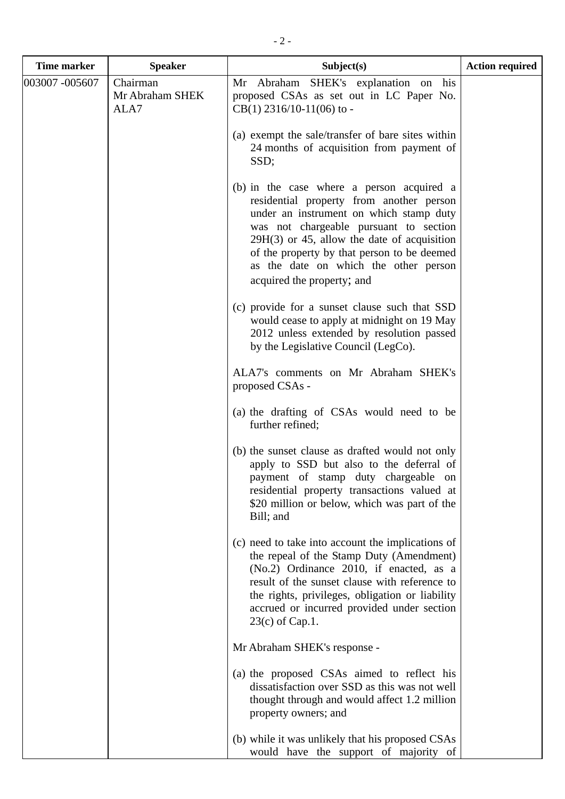| <b>Time marker</b> | <b>Speaker</b>                      | Subject(s)                                                                                                                                                                                                                                                                                                                                        | <b>Action required</b> |
|--------------------|-------------------------------------|---------------------------------------------------------------------------------------------------------------------------------------------------------------------------------------------------------------------------------------------------------------------------------------------------------------------------------------------------|------------------------|
| 003007 -005607     | Chairman<br>Mr Abraham SHEK<br>ALA7 | his<br>Mr Abraham SHEK's explanation on<br>proposed CSAs as set out in LC Paper No.<br>$CB(1)$ 2316/10-11(06) to -                                                                                                                                                                                                                                |                        |
|                    |                                     | (a) exempt the sale/transfer of bare sites within<br>24 months of acquisition from payment of<br>SSD;                                                                                                                                                                                                                                             |                        |
|                    |                                     | (b) in the case where a person acquired a<br>residential property from another person<br>under an instrument on which stamp duty<br>was not chargeable pursuant to section<br>$29H(3)$ or 45, allow the date of acquisition<br>of the property by that person to be deemed<br>as the date on which the other person<br>acquired the property; and |                        |
|                    |                                     | (c) provide for a sunset clause such that SSD<br>would cease to apply at midnight on 19 May<br>2012 unless extended by resolution passed<br>by the Legislative Council (LegCo).                                                                                                                                                                   |                        |
|                    |                                     | ALA7's comments on Mr Abraham SHEK's<br>proposed CSAs -                                                                                                                                                                                                                                                                                           |                        |
|                    |                                     | (a) the drafting of CSAs would need to be<br>further refined;                                                                                                                                                                                                                                                                                     |                        |
|                    |                                     | (b) the sunset clause as drafted would not only<br>apply to SSD but also to the deferral of<br>payment of stamp duty chargeable<br>on<br>residential property transactions valued at<br>\$20 million or below, which was part of the<br>Bill; and                                                                                                 |                        |
|                    |                                     | (c) need to take into account the implications of<br>the repeal of the Stamp Duty (Amendment)<br>(No.2) Ordinance 2010, if enacted, as a<br>result of the sunset clause with reference to<br>the rights, privileges, obligation or liability<br>accrued or incurred provided under section<br>$23(c)$ of Cap.1.                                   |                        |
|                    |                                     | Mr Abraham SHEK's response -                                                                                                                                                                                                                                                                                                                      |                        |
|                    |                                     | (a) the proposed CSAs aimed to reflect his<br>dissatisfaction over SSD as this was not well<br>thought through and would affect 1.2 million<br>property owners; and                                                                                                                                                                               |                        |
|                    |                                     | (b) while it was unlikely that his proposed CSAs<br>would have the support of majority of                                                                                                                                                                                                                                                         |                        |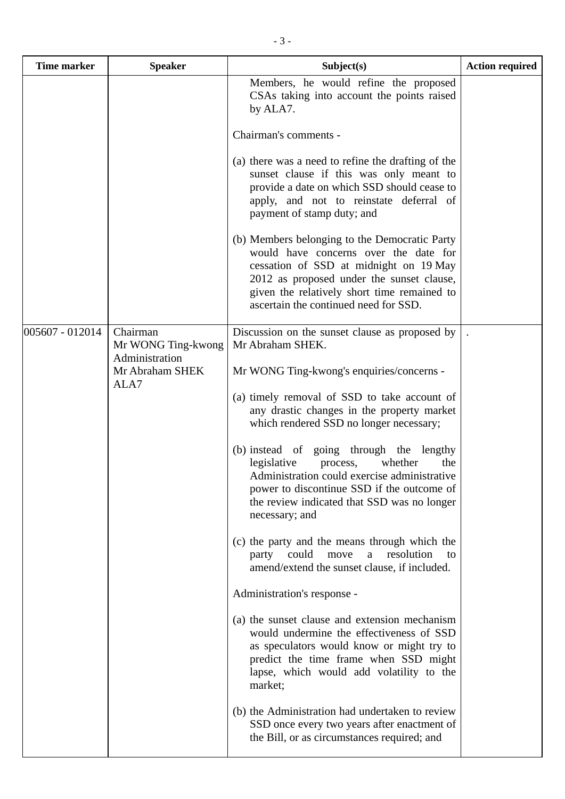| <b>Time marker</b> | <b>Speaker</b>                                   | Subject(s)                                                                                                                                                                                                                                                            | <b>Action required</b> |
|--------------------|--------------------------------------------------|-----------------------------------------------------------------------------------------------------------------------------------------------------------------------------------------------------------------------------------------------------------------------|------------------------|
|                    |                                                  | Members, he would refine the proposed<br>CSAs taking into account the points raised<br>by ALA7.                                                                                                                                                                       |                        |
|                    |                                                  | Chairman's comments -                                                                                                                                                                                                                                                 |                        |
|                    |                                                  | (a) there was a need to refine the drafting of the<br>sunset clause if this was only meant to<br>provide a date on which SSD should cease to<br>apply, and not to reinstate deferral of<br>payment of stamp duty; and                                                 |                        |
|                    |                                                  | (b) Members belonging to the Democratic Party<br>would have concerns over the date for<br>cessation of SSD at midnight on 19 May<br>2012 as proposed under the sunset clause,<br>given the relatively short time remained to<br>ascertain the continued need for SSD. |                        |
| 005607 - 012014    | Chairman<br>Mr WONG Ting-kwong<br>Administration | Discussion on the sunset clause as proposed by<br>Mr Abraham SHEK.                                                                                                                                                                                                    |                        |
|                    | Mr Abraham SHEK<br>ALA7                          | Mr WONG Ting-kwong's enquiries/concerns -                                                                                                                                                                                                                             |                        |
|                    |                                                  | (a) timely removal of SSD to take account of<br>any drastic changes in the property market<br>which rendered SSD no longer necessary;                                                                                                                                 |                        |
|                    |                                                  | (b) instead of going through the lengthy<br>legislative<br>whether<br>process,<br>the<br>Administration could exercise administrative<br>power to discontinue SSD if the outcome of<br>the review indicated that SSD was no longer<br>necessary; and                  |                        |
|                    |                                                  | (c) the party and the means through which the<br>could<br>resolution<br>move<br>party<br>a<br>to<br>amend/extend the sunset clause, if included.                                                                                                                      |                        |
|                    |                                                  | Administration's response -                                                                                                                                                                                                                                           |                        |
|                    |                                                  | (a) the sunset clause and extension mechanism<br>would undermine the effectiveness of SSD<br>as speculators would know or might try to<br>predict the time frame when SSD might<br>lapse, which would add volatility to the<br>market;                                |                        |
|                    |                                                  | (b) the Administration had undertaken to review<br>SSD once every two years after enactment of<br>the Bill, or as circumstances required; and                                                                                                                         |                        |